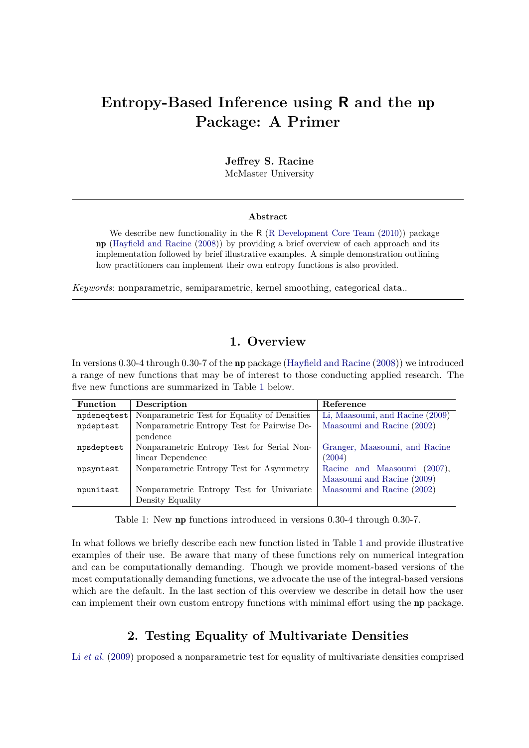# **Entropy-Based Inference using R and the** np **Package: A Primer**

**Jeffrey S. Racine** McMaster University

#### **Abstract**

We describe new functionality in the R [\(R Development Core Team](#page-10-0) [\(2010\)](#page-10-0)) package  $np$  (Hayfield and Racine [\(2008\)](#page-9-0)) by providing a brief overview of each approach and its implementation followed by brief illustrative examples. A simple demonstration outlining how practitioners can implement their own entropy functions is also provided.

*Keywords*: nonparametric, semiparametric, kernel smoothing, categorical data..

## **1. Overview**

<span id="page-0-0"></span>In versions 0.30-4 through 0.30-7 of the **np** package (Hayfield and Racine  $(2008)$ ) we introduced a range of new functions that may be of interest to those conducting applied research. The five new functions are summarized in Table [1](#page-0-0) below.

| <b>Function</b> | Description                                  | Reference                         |
|-----------------|----------------------------------------------|-----------------------------------|
| npdeneqtest     | Nonparametric Test for Equality of Densities | Li, Maasoumi, and Racine (2009)   |
| npdeptest       | Nonparametric Entropy Test for Pairwise De-  | Maasoumi and Racine (2002)        |
|                 | pendence                                     |                                   |
| npsdeptest      | Nonparametric Entropy Test for Serial Non-   | Granger, Maasoumi, and Racine     |
|                 | linear Dependence                            | (2004)                            |
| npsymtest       | Nonparametric Entropy Test for Asymmetry     | Racine and Maasoumi<br>$(2007)$ , |
|                 |                                              | Maasoumi and Racine (2009)        |
| npunitest       | Nonparametric Entropy Test for Univariate    | Maasoumi and Racine (2002)        |
|                 | Density Equality                             |                                   |

Table 1: New np functions introduced in versions 0.30-4 through 0.30-7.

In what follows we briefly describe each new function listed in Table [1](#page-0-0) and provide illustrative examples of their use. Be aware that many of these functions rely on numerical integration and can be computationally demanding. Though we provide moment-based versions of the most computationally demanding functions, we advocate the use of the integral-based versions which are the default. In the last section of this overview we describe in detail how the user can implement their own custom entropy functions with minimal effort using the np package.

## **2. Testing Equality of Multivariate Densities**

Li *[et al.](#page-9-1)* [\(2009\)](#page-9-1) proposed a nonparametric test for equality of multivariate densities comprised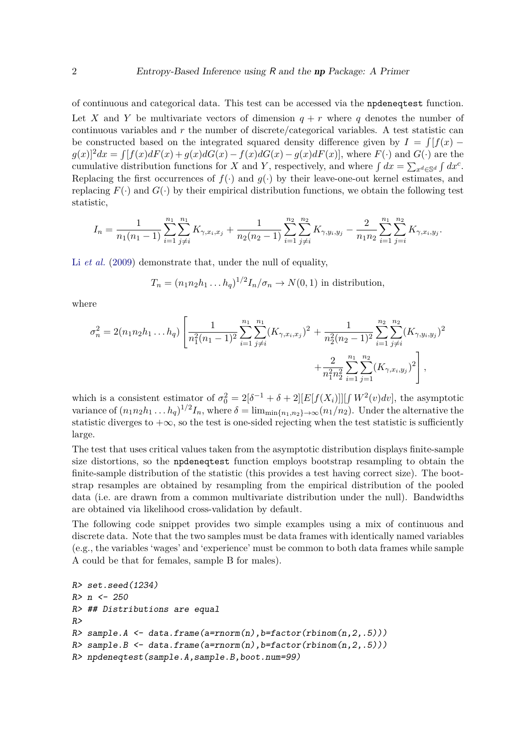of continuous and categorical data. This test can be accessed via the npdeneqtest function. Let X and Y be multivariate vectors of dimension  $q + r$  where q denotes the number of continuous variables and *r* the number of discrete/categorical variables. A test statistic can be constructed based on the integrated squared density difference given by  $I = \int [f(x)$  $g(x)^2 dx = \int [f(x)dF(x) + g(x)dG(x) - f(x)dG(x) - g(x)dF(x)]$ , where  $F(\cdot)$  and  $G(\cdot)$  are the cumulative distribution functions for *X* and *Y*, respectively, and where  $\int dx = \sum_{x^d \in \mathbb{S}^d} \int dx^c$ . Replacing the first occurrences of  $f(\cdot)$  and  $g(\cdot)$  by their leave-one-out kernel estimates, and replacing  $F(\cdot)$  and  $G(\cdot)$  by their empirical distribution functions, we obtain the following test statistic,

$$
I_n = \frac{1}{n_1(n_1-1)} \sum_{i=1}^{n_1} \sum_{j \neq i}^{n_1} K_{\gamma, x_i, x_j} + \frac{1}{n_2(n_2-1)} \sum_{i=1}^{n_2} \sum_{j \neq i}^{n_2} K_{\gamma, y_i, y_j} - \frac{2}{n_1 n_2} \sum_{i=1}^{n_1} \sum_{j=i}^{n_2} K_{\gamma, x_i, y_j}.
$$

Li *[et al.](#page-9-1)* [\(2009\)](#page-9-1) demonstrate that, under the null of equality,

$$
T_n = (n_1 n_2 h_1 \dots h_q)^{1/2} I_n / \sigma_n \to N(0, 1)
$$
 in distribution,

where

$$
\sigma_n^2 = 2(n_1 n_2 h_1 ... h_q) \left[ \frac{1}{n_1^2 (n_1 - 1)^2} \sum_{i=1}^{n_1} \sum_{j \neq i}^{n_1} (K_{\gamma, x_i, x_j})^2 + \frac{1}{n_2^2 (n_2 - 1)^2} \sum_{i=1}^{n_2} \sum_{j \neq i}^{n_2} (K_{\gamma, y_i, y_j})^2 + \frac{2}{n_1^2 n_2^2} \sum_{i=1}^{n_1} \sum_{j=1}^{n_2} (K_{\gamma, x_i, y_j})^2 \right],
$$

which is a consistent estimator of  $\sigma_0^2 = 2[\delta^{-1} + \delta + 2][E[f(X_i)]][f(W^2(v)dv],$  the asymptotic variance of  $(n_1n_2h_1 \tldots h_q)^{1/2}I_n$ , where  $\delta = \lim_{\min\{n_1,n_2\}\to\infty} (n_1/n_2)$ . Under the alternative the statistic diverges to  $+\infty$ , so the test is one-sided rejecting when the test statistic is sufficiently large.

The test that uses critical values taken from the asymptotic distribution displays finite-sample size distortions, so the npdeneqtest function employs bootstrap resampling to obtain the finite-sample distribution of the statistic (this provides a test having correct size). The bootstrap resamples are obtained by resampling from the empirical distribution of the pooled data (i.e. are drawn from a common multivariate distribution under the null). Bandwidths are obtained via likelihood cross-validation by default.

The following code snippet provides two simple examples using a mix of continuous and discrete data. Note that the two samples must be data frames with identically named variables (e.g., the variables 'wages' and 'experience' must be common to both data frames while sample A could be that for females, sample B for males).

```
R> set.seed(1234)
R> n <- 250
R> ## Distributions are equal
R>
R> sample.A <- data.frame(a=rnorm(n),b=factor(rbinom(n,2,.5)))
R> sample.B <- data.frame(a=rnorm(n),b=factor(rbinom(n,2,.5)))
R> npdeneqtest(sample.A,sample.B,boot.num=99)
```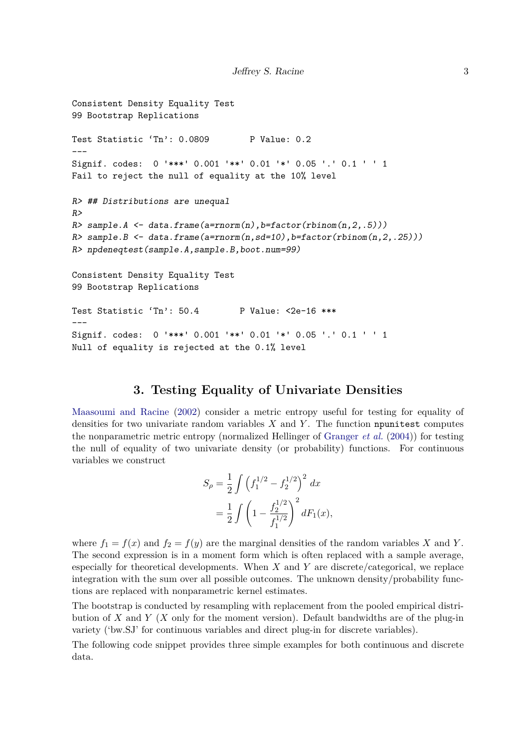```
Consistent Density Equality Test
99 Bootstrap Replications
Test Statistic 'Tn': 0.0809 P Value: 0.2
---Signif. codes: 0 '***' 0.001 '**' 0.01 '*' 0.05 '.' 0.1 ' ' 1
Fail to reject the null of equality at the 10% level
R> ## Distributions are unequal
R>
R> sample.A <- data.frame(a=rnorm(n),b=factor(rbinom(n,2,.5)))
R> sample.B <- data.frame(a=rnorm(n,sd=10),b=factor(rbinom(n,2,.25)))
R> npdeneqtest(sample.A,sample.B,boot.num=99)
Consistent Density Equality Test
99 Bootstrap Replications
Test Statistic 'Tn': 50.4 P Value: <2e-16 ***
---
Signif. codes: 0 '***' 0.001 '**' 0.01 '*' 0.05 '.' 0.1 ' ' 1
Null of equality is rejected at the 0.1% level
```
#### **3. Testing Equality of Univariate Densities**

[Maasoumi and Racine](#page-9-2) [\(2002\)](#page-9-2) consider a metric entropy useful for testing for equality of densities for two univariate random variables *X* and *Y* . The function npunitest computes the nonparametric metric entropy (normalized Hellinger of [Granger](#page-9-3) *et al.* [\(2004\)](#page-9-3)) for testing the null of equality of two univariate density (or probability) functions. For continuous variables we construct

$$
S_{\rho} = \frac{1}{2} \int \left(f_1^{1/2} - f_2^{1/2}\right)^2 dx
$$
  
=  $\frac{1}{2} \int \left(1 - \frac{f_2^{1/2}}{f_1^{1/2}}\right)^2 dF_1(x),$ 

where  $f_1 = f(x)$  and  $f_2 = f(y)$  are the marginal densities of the random variables X and Y. The second expression is in a moment form which is often replaced with a sample average, especially for theoretical developments. When *X* and *Y* are discrete/categorical, we replace integration with the sum over all possible outcomes. The unknown density/probability functions are replaced with nonparametric kernel estimates.

The bootstrap is conducted by resampling with replacement from the pooled empirical distribution of *X* and *Y* (*X* only for the moment version). Default bandwidths are of the plug-in variety ('bw.SJ' for continuous variables and direct plug-in for discrete variables).

The following code snippet provides three simple examples for both continuous and discrete data.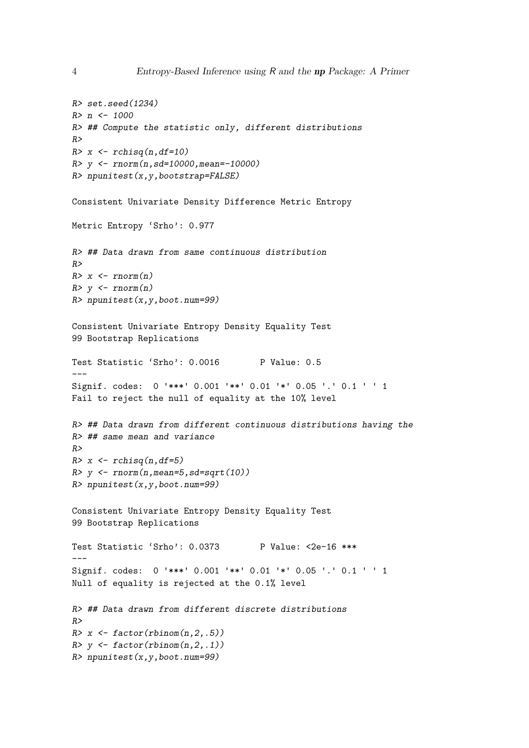```
R> set.seed(1234)
R> n <- 1000
R> ## Compute the statistic only, different distributions
R>
R> x <- rchisq(n,df=10)
R> y <- rnorm(n,sd=10000,mean=-10000)
R> npunitest(x,y,bootstrap=FALSE)
Consistent Univariate Density Difference Metric Entropy
Metric Entropy 'Srho': 0.977
R> ## Data drawn from same continuous distribution
R>
R> x <- rnorm(n)
R> y <- rnorm(n)
R> npunitest(x,y,boot.num=99)
Consistent Univariate Entropy Density Equality Test
99 Bootstrap Replications
Test Statistic 'Srho': 0.0016 P Value: 0.5
---
Signif. codes: 0 '***' 0.001 '**' 0.01 '*' 0.05 '.' 0.1 ' ' 1
Fail to reject the null of equality at the 10% level
R> ## Data drawn from different continuous distributions having the
R> ## same mean and variance
R>
R> x <- rchisq(n,df=5)
R> y <- rnorm(n,mean=5,sd=sqrt(10))
R> npunitest(x,y,boot.num=99)
Consistent Univariate Entropy Density Equality Test
99 Bootstrap Replications
Test Statistic 'Srho': 0.0373 P Value: <2e-16 ***
Signif. codes: 0 '***' 0.001 '**' 0.01 '*' 0.05 '.' 0.1 ' ' 1
Null of equality is rejected at the 0.1% level
R> ## Data drawn from different discrete distributions
R>
R> x <- factor(rbinom(n,2,.5))
R> y <- factor(rbinom(n,2,.1))
R> npunitest(x,y,boot.num=99)
```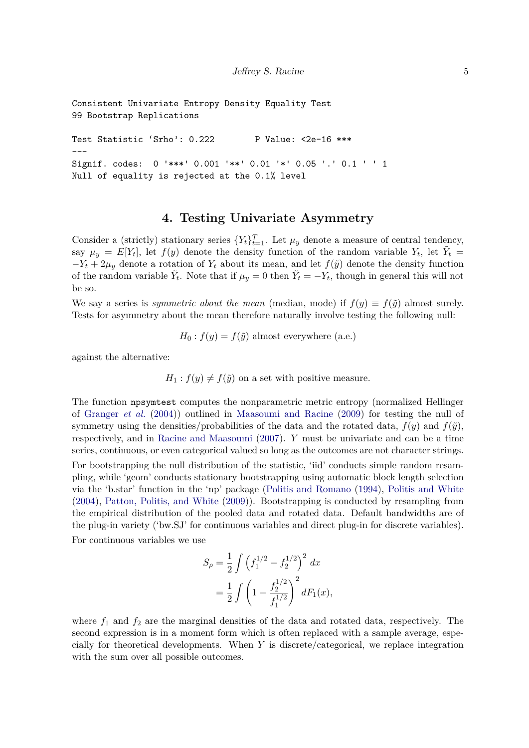Consistent Univariate Entropy Density Equality Test 99 Bootstrap Replications

Test Statistic 'Srho': 0.222 P Value: <2e-16 \*\*\* --- Signif. codes: 0 '\*\*\*' 0.001 '\*\*' 0.01 '\*' 0.05 '.' 0.1 ' ' 1 Null of equality is rejected at the 0.1% level

## **4. Testing Univariate Asymmetry**

Consider a (strictly) stationary series  $\{Y_t\}_{t=1}^T$ . Let  $\mu_y$  denote a measure of central tendency, say  $\mu_y = E[Y_t]$ , let  $f(y)$  denote the density function of the random variable  $Y_t$ , let  $\tilde{Y}_t =$  $-Y_t + 2\mu_y$  denote a rotation of  $Y_t$  about its mean, and let  $f(\tilde{y})$  denote the density function of the random variable  $\tilde{Y}_t$ . Note that if  $\mu_y = 0$  then  $\tilde{Y}_t = -Y_t$ , though in general this will not be so.

We say a series is *symmetric about the mean* (median, mode) if  $f(y) \equiv f(\tilde{y})$  almost surely. Tests for asymmetry about the mean therefore naturally involve testing the following null:

$$
H_0: f(y) = f(\tilde{y})
$$
 almost everywhere (a.e.)

against the alternative:

 $H_1: f(y) \neq f(\tilde{y})$  on a set with positive measure.

The function npsymtest computes the nonparametric metric entropy (normalized Hellinger of [Granger](#page-9-3) *et al.* [\(2004\)](#page-9-3)) outlined in [Maasoumi and Racine](#page-9-4) [\(2009\)](#page-9-4) for testing the null of symmetry using the densities/probabilities of the data and the rotated data,  $f(y)$  and  $f(\tilde{y})$ , respectively, and in [Racine and Maasoumi](#page-10-1) [\(2007\)](#page-10-1). *Y* must be univariate and can be a time series, continuous, or even categorical valued so long as the outcomes are not character strings. For bootstrapping the null distribution of the statistic, 'iid' conducts simple random resampling, while 'geom' conducts stationary bootstrapping using automatic block length selection via the 'b.star' function in the 'np' package [\(Politis and Romano](#page-9-5) [\(1994\)](#page-9-5), [Politis and White](#page-10-2) [\(2004\)](#page-10-2), [Patton, Politis, and White](#page-9-6) [\(2009\)](#page-9-6)). Bootstrapping is conducted by resampling from the empirical distribution of the pooled data and rotated data. Default bandwidths are of the plug-in variety ('bw.SJ' for continuous variables and direct plug-in for discrete variables). For continuous variables we use

$$
S_{\rho} = \frac{1}{2} \int \left(f_1^{1/2} - f_2^{1/2}\right)^2 dx
$$
  
=  $\frac{1}{2} \int \left(1 - \frac{f_2^{1/2}}{f_1^{1/2}}\right)^2 dF_1(x),$ 

where  $f_1$  and  $f_2$  are the marginal densities of the data and rotated data, respectively. The second expression is in a moment form which is often replaced with a sample average, especially for theoretical developments. When *Y* is discrete/categorical, we replace integration with the sum over all possible outcomes.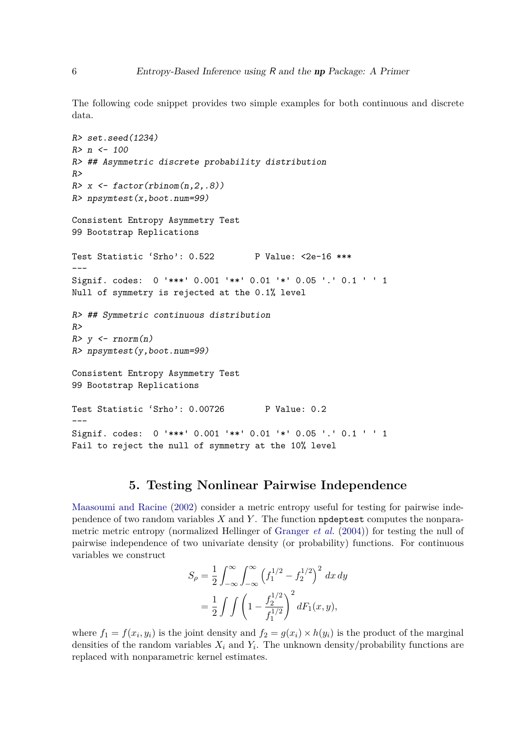The following code snippet provides two simple examples for both continuous and discrete data.

```
R> set.seed(1234)
R> n <- 100
R> ## Asymmetric discrete probability distribution
R>
R> x <- factor(rbinom(n,2,.8))
R> npsymtest(x,boot.num=99)
Consistent Entropy Asymmetry Test
99 Bootstrap Replications
Test Statistic 'Srho': 0.522 P Value: <2e-16 ***
---
Signif. codes: 0 '***' 0.001 '**' 0.01 '*' 0.05 '.' 0.1 ' ' 1
Null of symmetry is rejected at the 0.1% level
R> ## Symmetric continuous distribution
R>
R> y <- rnorm(n)
R> npsymtest(y,boot.num=99)
Consistent Entropy Asymmetry Test
99 Bootstrap Replications
Test Statistic 'Srho': 0.00726 P Value: 0.2
---Signif. codes: 0 '***' 0.001 '**' 0.01 '*' 0.05 '.' 0.1 ' ' 1
Fail to reject the null of symmetry at the 10% level
```
## **5. Testing Nonlinear Pairwise Independence**

[Maasoumi and Racine](#page-9-2) [\(2002\)](#page-9-2) consider a metric entropy useful for testing for pairwise independence of two random variables *X* and *Y* . The function npdeptest computes the nonparametric metric entropy (normalized Hellinger of [Granger](#page-9-3) *et al.* [\(2004\)](#page-9-3)) for testing the null of pairwise independence of two univariate density (or probability) functions. For continuous variables we construct

$$
S_{\rho} = \frac{1}{2} \int_{-\infty}^{\infty} \int_{-\infty}^{\infty} \left( f_1^{1/2} - f_2^{1/2} \right)^2 dx dy
$$
  
= 
$$
\frac{1}{2} \int \int \left( 1 - \frac{f_2^{1/2}}{f_1^{1/2}} \right)^2 dF_1(x, y),
$$

where  $f_1 = f(x_i, y_i)$  is the joint density and  $f_2 = g(x_i) \times h(y_i)$  is the product of the marginal densities of the random variables  $X_i$  and  $Y_i$ . The unknown density/probability functions are replaced with nonparametric kernel estimates.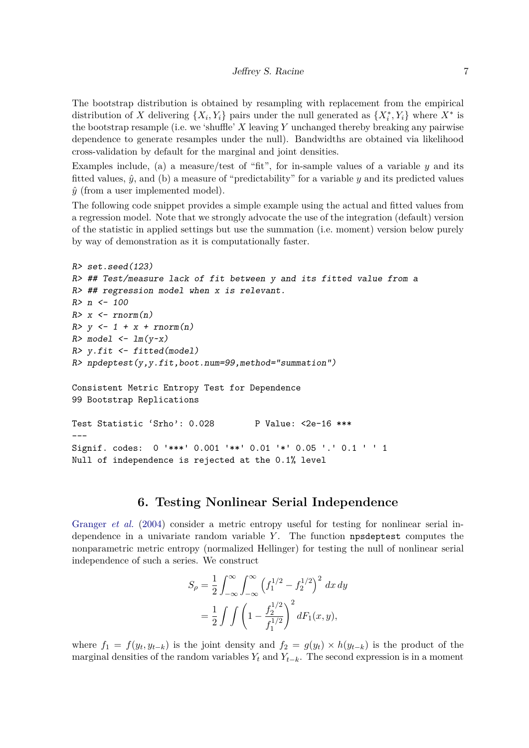The bootstrap distribution is obtained by resampling with replacement from the empirical distribution of *X* delivering  $\{X_i, Y_i\}$  pairs under the null generated as  $\{X_i^*, Y_i\}$  where  $X^*$  is the bootstrap resample (i.e. we 'shuffle'  $X$  leaving  $Y$  unchanged thereby breaking any pairwise dependence to generate resamples under the null). Bandwidths are obtained via likelihood cross-validation by default for the marginal and joint densities.

Examples include, (a) a measure/test of "fit", for in-sample values of a variable  $y$  and its fitted values,  $\hat{y}$ , and (b) a measure of "predictability" for a variable *y* and its predicted values  $\hat{y}$  (from a user implemented model).

The following code snippet provides a simple example using the actual and fitted values from a regression model. Note that we strongly advocate the use of the integration (default) version of the statistic in applied settings but use the summation (i.e. moment) version below purely by way of demonstration as it is computationally faster.

```
R> set.seed(123)
R> ## Test/measure lack of fit between y and its fitted value from a
R> ## regression model when x is relevant.
R> n <- 100
R> x <- rnorm(n)
R> y <- 1 + x + rnorm(n)
R> model <- lm(y~x)
R> y.fit <- fitted(model)
R> npdeptest(y,y.fit,boot.num=99,method="summation")
Consistent Metric Entropy Test for Dependence
99 Bootstrap Replications
Test Statistic 'Srho': 0.028 P Value: <2e-16 ***
---
Signif. codes: 0 '***' 0.001 '**' 0.01 '*' 0.05 '.' 0.1 ' ' 1
Null of independence is rejected at the 0.1% level
```
# **6. Testing Nonlinear Serial Independence**

[Granger](#page-9-3) *et al.* [\(2004\)](#page-9-3) consider a metric entropy useful for testing for nonlinear serial independence in a univariate random variable *Y*. The function npsdeptest computes the nonparametric metric entropy (normalized Hellinger) for testing the null of nonlinear serial independence of such a series. We construct

$$
S_{\rho} = \frac{1}{2} \int_{-\infty}^{\infty} \int_{-\infty}^{\infty} \left( f_1^{1/2} - f_2^{1/2} \right)^2 dx dy
$$
  
=  $\frac{1}{2} \int \int \left( 1 - \frac{f_2^{1/2}}{f_1^{1/2}} \right)^2 dF_1(x, y),$ 

where  $f_1 = f(y_t, y_{t-k})$  is the joint density and  $f_2 = g(y_t) \times h(y_{t-k})$  is the product of the marginal densities of the random variables  $Y_t$  and  $Y_{t-k}$ . The second expression is in a moment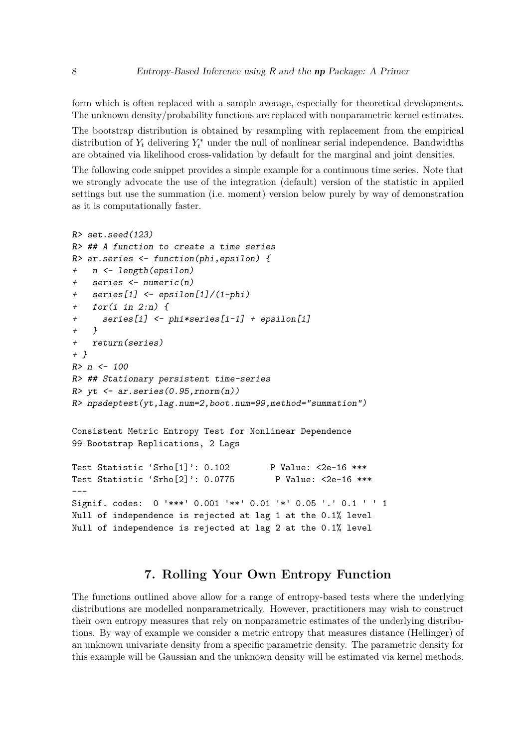form which is often replaced with a sample average, especially for theoretical developments. The unknown density/probability functions are replaced with nonparametric kernel estimates.

The bootstrap distribution is obtained by resampling with replacement from the empirical distribution of  $Y_t$  delivering  $Y_t^*$  under the null of nonlinear serial independence. Bandwidths are obtained via likelihood cross-validation by default for the marginal and joint densities.

The following code snippet provides a simple example for a continuous time series. Note that we strongly advocate the use of the integration (default) version of the statistic in applied settings but use the summation (i.e. moment) version below purely by way of demonstration as it is computationally faster.

```
R> set.seed(123)
R> ## A function to create a time series
R> ar.series <- function(phi,epsilon) {
+ n <- length(epsilon)
+ series <- numeric(n)
+ series[1] <- epsilon[1]/(1-phi)
   + for(i in 2:n) {
+ series[i] <- phi*series[i-1] + epsilon[i]
+ }
+ return(series)
+ }
R> n <- 100
R> ## Stationary persistent time-series
R> yt <- ar.series(0.95,rnorm(n))
R> npsdeptest(yt,lag.num=2,boot.num=99,method="summation")
Consistent Metric Entropy Test for Nonlinear Dependence
99 Bootstrap Replications, 2 Lags
Test Statistic 'Srho[1]': 0.102 P Value: <2e-16 ***
Test Statistic 'Srho[2]': 0.0775 P Value: <2e-16 ***
---Signif. codes: 0 '***' 0.001 '**' 0.01 '*' 0.05 '.' 0.1 ' ' 1
Null of independence is rejected at lag 1 at the 0.1% level
Null of independence is rejected at lag 2 at the 0.1% level
```
# **7. Rolling Your Own Entropy Function**

The functions outlined above allow for a range of entropy-based tests where the underlying distributions are modelled nonparametrically. However, practitioners may wish to construct their own entropy measures that rely on nonparametric estimates of the underlying distributions. By way of example we consider a metric entropy that measures distance (Hellinger) of an unknown univariate density from a specific parametric density. The parametric density for this example will be Gaussian and the unknown density will be estimated via kernel methods.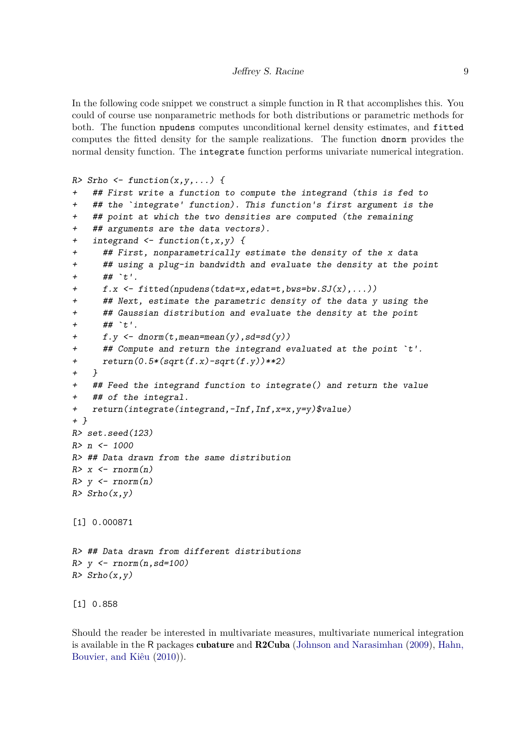In the following code snippet we construct a simple function in R that accomplishes this. You could of course use nonparametric methods for both distributions or parametric methods for both. The function npudens computes unconditional kernel density estimates, and fitted computes the fitted density for the sample realizations. The function dnorm provides the normal density function. The integrate function performs univariate numerical integration.

```
R> Srho <- function(x,y,...) {
```

```
+ ## First write a function to compute the integrand (this is fed to
+ ## the `integrate' function). This function's first argument is the
    + ## point at which the two densities are computed (the remaining
+ ## arguments are the data vectors).
+ integrand <- function(t,x,y) {
+ ## First, nonparametrically estimate the density of the x data
+ ## using a plug-in bandwidth and evaluate the density at the point
+ ## `t'.
+ f.x <- fitted(npudens(tdat=x,edat=t,bws=bw.SJ(x),...))
+ ## Next, estimate the parametric density of the data y using the
+ ## Gaussian distribution and evaluate the density at the point
+ ## `t'.
+ f.y <- dnorm(t,mean=mean(y),sd=sd(y))
      + ## Compute and return the integrand evaluated at the point `t'.
+ return(0.5*(sqrt(f.x)-sqrt(f.y))**2)
+ }
+ ## Feed the integrand function to integrate() and return the value
+ ## of the integral.
+ return(integrate(integrand,-Inf,Inf,x=x,y=y)$value)
+ }
R> set.seed(123)
R> n <- 1000
R> ## Data drawn from the same distribution
R> x <- rnorm(n)
R> y <- rnorm(n)
R> Srho(x,y)
[1] 0.000871
R> ## Data drawn from different distributions
R> y <- rnorm(n,sd=100)
R> Srho(x,y)
[1] 0.858
```
Should the reader be interested in multivariate measures, multivariate numerical integration is available in the R packages cubature and  $R2Cuba$  [\(Johnson and Narasimhan](#page-9-7) [\(2009\)](#page-9-7), [Hahn,](#page-9-8) [Bouvier, and Kiêu](#page-9-8) [\(2010\)](#page-9-8)).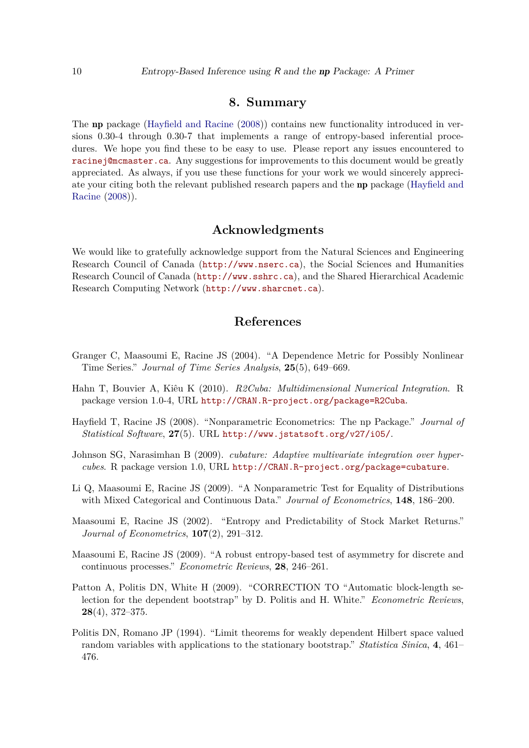#### **8. Summary**

The  $np$  package (Hayfield and Racine  $(2008)$ ) contains new functionality introduced in versions 0.30-4 through 0.30-7 that implements a range of entropy-based inferential procedures. We hope you find these to be easy to use. Please report any issues encountered to racine j@mcmaster.ca. Any suggestions for improvements to this document would be greatly appreciated. As always, if you use these functions for your work we would sincerely appreciate your citing both the relevant published research papers and the **np** package (Hayfield and [Racine](#page-9-0) [\(2008\)](#page-9-0)).

#### **Acknowledgments**

We would like to gratefully acknowledge support from the Natural Sciences and Engineering Research Council of Canada (<http://www.nserc.ca>), the Social Sciences and Humanities Research Council of Canada (<http://www.sshrc.ca>), and the Shared Hierarchical Academic Research Computing Network (<http://www.sharcnet.ca>).

#### **References**

- <span id="page-9-3"></span>Granger C, Maasoumi E, Racine JS (2004). "A Dependence Metric for Possibly Nonlinear Time Series.<sup>n</sup> Journal of Time Series Analysis, 25(5), 649–669.
- <span id="page-9-8"></span>Hahn T, Bouvier A, Kiêu K (2010). *R2Cuba: Multidimensional Numerical Integration*. R package version 1.0-4, URL <http://CRAN.R-project.org/package=R2Cuba>.
- <span id="page-9-0"></span>Hayfield T, Racine JS (2008). "Nonparametric Econometrics: The np Package." *Journal of Statistical Software*, **27**(5). URL <http://www.jstatsoft.org/v27/i05/>.
- <span id="page-9-7"></span>Johnson SG, Narasimhan B (2009). *cubature: Adaptive multivariate integration over hypercubes*. R package version 1.0, URL <http://CRAN.R-project.org/package=cubature>.
- <span id="page-9-1"></span>Li Q, Maasoumi E, Racine JS  $(2009)$ . "A Nonparametric Test for Equality of Distributions with Mixed Categorical and Continuous Data.<sup>"</sup> Journal of Econometrics, 148, 186–200.
- <span id="page-9-2"></span>Maasoumi E, Racine JS (2002). "Entropy and Predictability of Stock Market Returns." *Journal of Econometrics*, **107**(2), **291–312**.
- <span id="page-9-4"></span>Maasoumi E, Racine JS (2009). "A robust entropy-based test of asymmetry for discrete and continuous processes.<sup>"</sup> *Econometric Reviews*, **28**, 246–261.
- <span id="page-9-6"></span>Patton A, Politis DN, White H (2009). "CORRECTION TO "Automatic block-length selection for the dependent bootstrap<sup>"</sup> by D. Politis and H. White.<sup>"</sup> *Econometric Reviews*,  $28(4)$ , 372-375.
- <span id="page-9-5"></span>Politis DN, Romano JP (1994). "Limit theorems for weakly dependent Hilbert space valued random variables with applications to the stationary bootstrap.<sup>n</sup> *Statistica Sinica*, **4**, 461– 476.